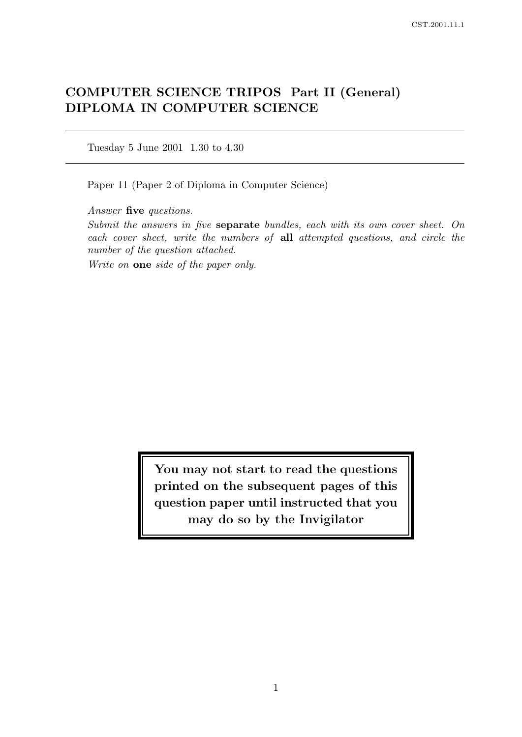# COMPUTER SCIENCE TRIPOS Part II (General) DIPLOMA IN COMPUTER SCIENCE

Tuesday 5 June 2001 1.30 to 4.30

Paper 11 (Paper 2 of Diploma in Computer Science)

Answer five questions.

Submit the answers in five separate bundles, each with its own cover sheet. On each cover sheet, write the numbers of all attempted questions, and circle the number of the question attached.

Write on one side of the paper only.

You may not start to read the questions printed on the subsequent pages of this question paper until instructed that you may do so by the Invigilator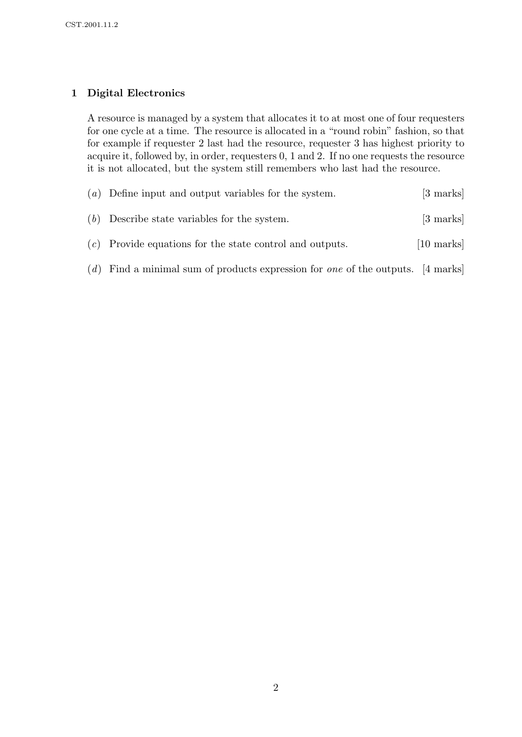# 1 Digital Electronics

A resource is managed by a system that allocates it to at most one of four requesters for one cycle at a time. The resource is allocated in a "round robin" fashion, so that for example if requester 2 last had the resource, requester 3 has highest priority to acquire it, followed by, in order, requesters 0, 1 and 2. If no one requests the resource it is not allocated, but the system still remembers who last had the resource.

| $(a)$ Define input and output variables for the system.    | $[3 \text{ marks}]$            |
|------------------------------------------------------------|--------------------------------|
| $(b)$ Describe state variables for the system.             | $\left[3 \text{ marks}\right]$ |
| $(c)$ Provide equations for the state control and outputs. | $[10 \text{ marks}]$           |

(d) Find a minimal sum of products expression for *one* of the outputs. [4 marks]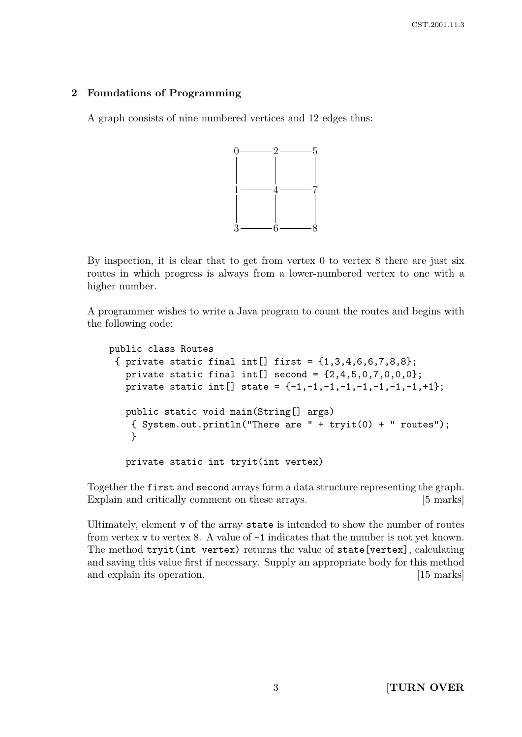# 2 Foundations of Programming

A graph consists of nine numbered vertices and 12 edges thus:



By inspection, it is clear that to get from vertex 0 to vertex 8 there are just six routes in which progress is always from a lower-numbered vertex to one with a higher number.

A programmer wishes to write a Java program to count the routes and begins with the following code:

```
public class Routes
 { private static final int[] first = \{1,3,4,6,6,7,8,8\};private static final int[] second = \{2, 4, 5, 0, 7, 0, 0, 0\};private static int[] state = \{-1,-1,-1,-1,-1,-1,-1,-1,+1\};public static void main(String[] args)
    { System.out.println("There are " + tryit(0) + " routes");
    }
   private static int tryit(int vertex)
```
Together the first and second arrays form a data structure representing the graph. Explain and critically comment on these arrays. [5 marks]

Ultimately, element v of the array state is intended to show the number of routes from vertex v to vertex 8. A value of -1 indicates that the number is not yet known. The method tryit(int vertex) returns the value of state[vertex], calculating and saving this value first if necessary. Supply an appropriate body for this method and explain its operation. [15 marks]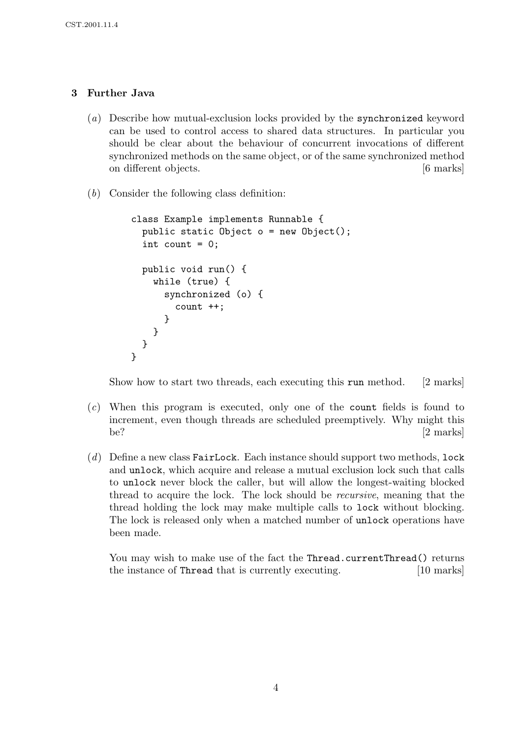# 3 Further Java

- (a) Describe how mutual-exclusion locks provided by the synchronized keyword can be used to control access to shared data structures. In particular you should be clear about the behaviour of concurrent invocations of different synchronized methods on the same object, or of the same synchronized method on different objects. [6 marks]
- (b) Consider the following class definition:

```
class Example implements Runnable {
  public static Object o = new Object();
  int count = 0;
  public void run() {
    while (true) {
      synchronized (o) {
        count ++;
      }
    }
  }
}
```
Show how to start two threads, each executing this run method. [2 marks]

- (c) When this program is executed, only one of the count fields is found to increment, even though threads are scheduled preemptively. Why might this be?  $[2 \text{ marks}]$
- $(d)$  Define a new class FairLock. Each instance should support two methods, lock and unlock, which acquire and release a mutual exclusion lock such that calls to unlock never block the caller, but will allow the longest-waiting blocked thread to acquire the lock. The lock should be recursive, meaning that the thread holding the lock may make multiple calls to lock without blocking. The lock is released only when a matched number of unlock operations have been made.

You may wish to make use of the fact the Thread.currentThread() returns the instance of Thread that is currently executing. [10 marks]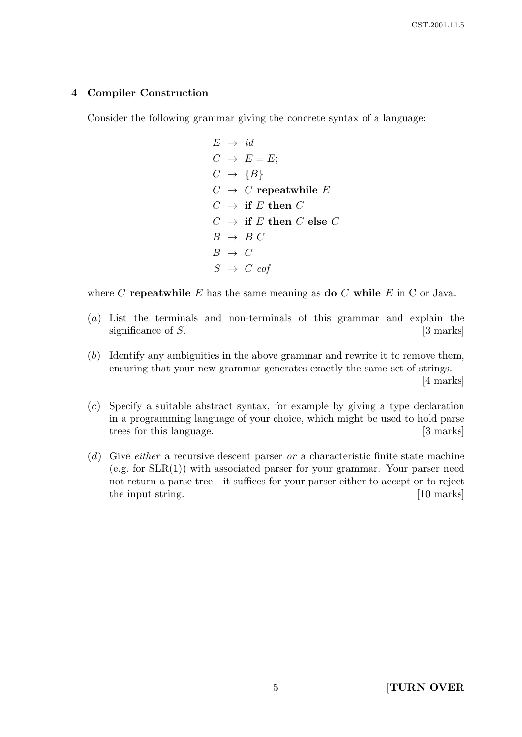#### 4 Compiler Construction

Consider the following grammar giving the concrete syntax of a language:

 $E \rightarrow id$  $C \rightarrow E = E;$  $C \rightarrow \{B\}$  $C \rightarrow C$  repeatwhile E  $C \rightarrow$  if E then C  $C \rightarrow \text{ if } E \text{ then } C \text{ else } C$  $B \rightarrow B C$  $B \rightarrow C$  $S \rightarrow C$  eof

where C repeatwhile E has the same meaning as do C while E in C or Java.

- (a) List the terminals and non-terminals of this grammar and explain the significance of  $S$ .  $[3 \text{ marks}]$
- (b) Identify any ambiguities in the above grammar and rewrite it to remove them, ensuring that your new grammar generates exactly the same set of strings. [4 marks]
- (c) Specify a suitable abstract syntax, for example by giving a type declaration in a programming language of your choice, which might be used to hold parse trees for this language. [3 marks]
- $(d)$  Give *either* a recursive descent parser *or* a characteristic finite state machine  $(e.g. for SLR(1))$  with associated parser for your grammar. Your parser need not return a parse tree—it suffices for your parser either to accept or to reject the input string. [10 marks]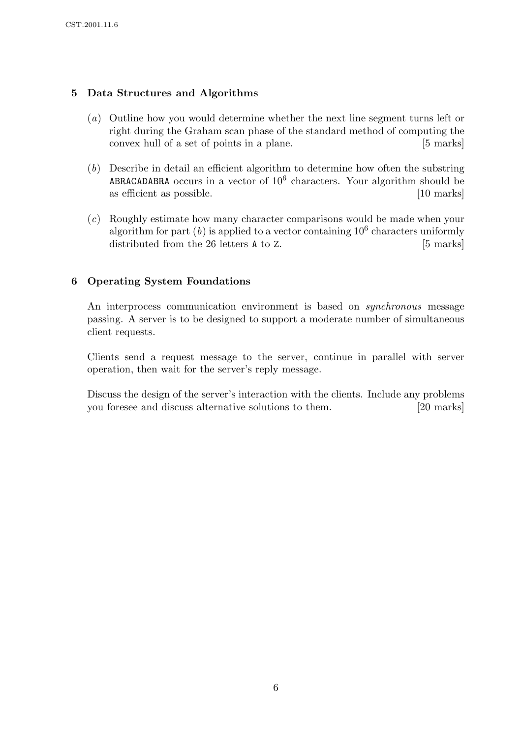# 5 Data Structures and Algorithms

- (a) Outline how you would determine whether the next line segment turns left or right during the Graham scan phase of the standard method of computing the convex hull of a set of points in a plane. [5 marks]
- (b) Describe in detail an efficient algorithm to determine how often the substring ABRACADABRA occurs in a vector of  $10^6$  characters. Your algorithm should be as efficient as possible. [10 marks]
- (c) Roughly estimate how many character comparisons would be made when your algorithm for part  $(b)$  is applied to a vector containing  $10^6$  characters uniformly distributed from the 26 letters **A** to Z. [5 marks]

# 6 Operating System Foundations

An interprocess communication environment is based on *synchronous* message passing. A server is to be designed to support a moderate number of simultaneous client requests.

Clients send a request message to the server, continue in parallel with server operation, then wait for the server's reply message.

Discuss the design of the server's interaction with the clients. Include any problems you foresee and discuss alternative solutions to them. [20 marks]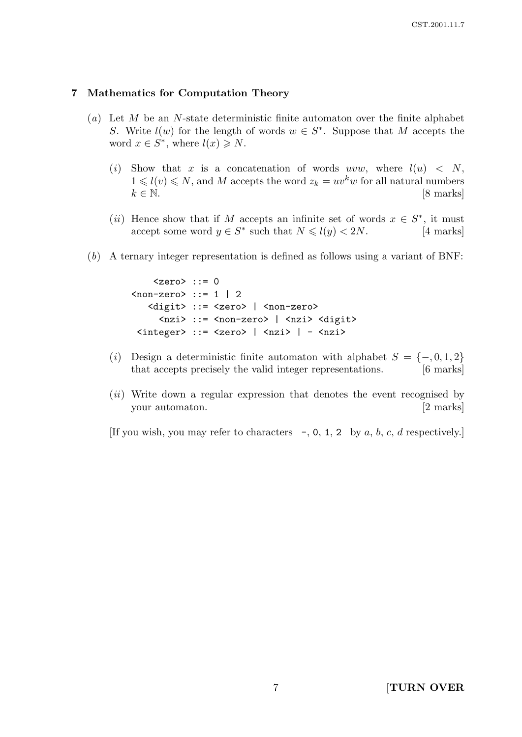#### 7 Mathematics for Computation Theory

- (a) Let M be an N-state deterministic finite automaton over the finite alphabet S. Write  $l(w)$  for the length of words  $w \in S^*$ . Suppose that M accepts the word  $x \in S^*$ , where  $l(x) \geq N$ .
	- (i) Show that x is a concatenation of words uvw, where  $l(u) < N$ ,  $1 \leq l(v) \leq N$ , and M accepts the word  $z_k = uv^k w$  for all natural numbers  $k \in \mathbb{N}$ . [8 marks]
	- (*ii*) Hence show that if M accepts an infinite set of words  $x \in S^*$ , it must accept some word  $y \in S^*$  such that  $N \le l(y) < 2N$ . [4 marks]
- (b) A ternary integer representation is defined as follows using a variant of BNF:

```
\text{~zero} ::= 0
\langlenon-zero> ::= 1 | 2
   <digit> ::= <zero> | <non-zero>
     <nzi> ::= <non-zero> | <nzi> <digit>
 <integer> ::= <zero> | <nzi> | - <nzi>
```
- (i) Design a deterministic finite automaton with alphabet  $S = \{-,0,1,2\}$ that accepts precisely the valid integer representations. [6 marks]
- (*ii*) Write down a regular expression that denotes the event recognised by your automaton. [2 marks]

[If you wish, you may refer to characters  $-$ , 0, 1, 2 by a, b, c, d respectively.]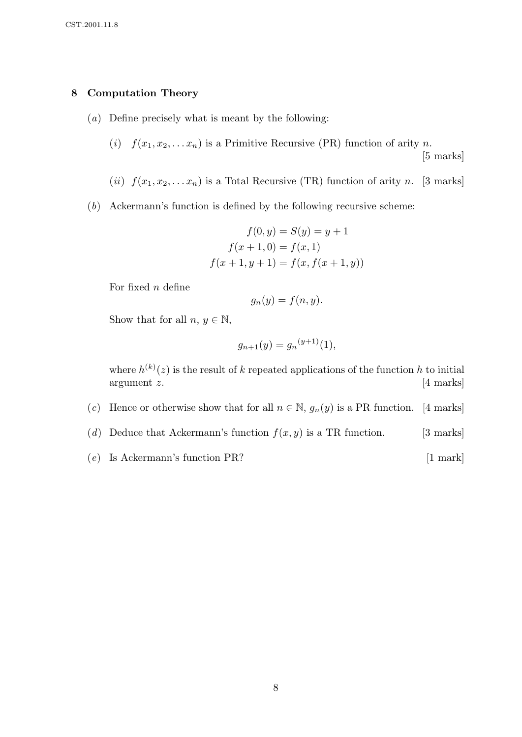#### 8 Computation Theory

- (a) Define precisely what is meant by the following:
	- (i)  $f(x_1, x_2, \ldots, x_n)$  is a Primitive Recursive (PR) function of arity n.

[5 marks]

- (ii)  $f(x_1, x_2, \ldots, x_n)$  is a Total Recursive (TR) function of arity n. [3 marks]
- (b) Ackermann's function is defined by the following recursive scheme:

$$
f(0, y) = S(y) = y + 1
$$
  

$$
f(x + 1, 0) = f(x, 1)
$$
  

$$
f(x + 1, y + 1) = f(x, f(x + 1, y))
$$

For fixed  $n$  define

$$
g_n(y) = f(n, y).
$$

Show that for all  $n, y \in \mathbb{N}$ ,

$$
g_{n+1}(y) = g_n^{(y+1)}(1),
$$

where  $h^{(k)}(z)$  is the result of k repeated applications of the function h to initial argument z. [4 marks]

- (c) Hence or otherwise show that for all  $n \in \mathbb{N}$ ,  $g_n(y)$  is a PR function. [4 marks]
- (d) Deduce that Ackermann's function  $f(x, y)$  is a TR function. [3 marks]
- $(e)$  Is Ackermann's function PR? [1 mark]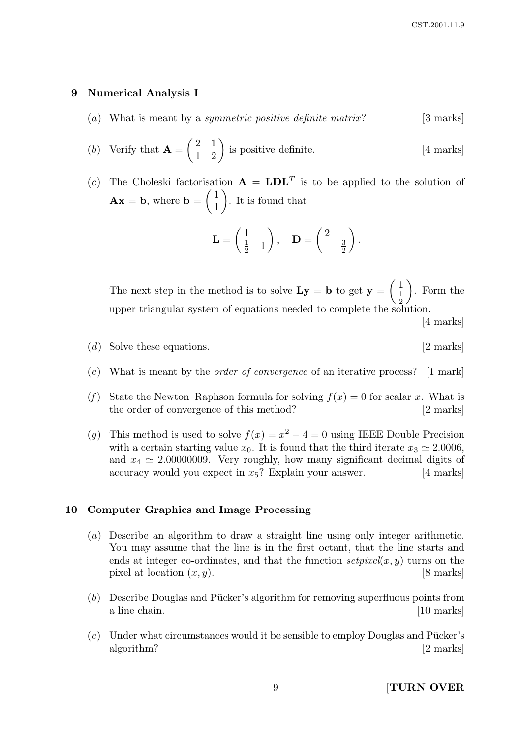#### 9 Numerical Analysis I

- (a) What is meant by a *symmetric positive definite matrix*? [3 marks]
- (b) Verify that  $\mathbf{A} =$  $\begin{pmatrix} 2 & 1 \\ 1 & 2 \end{pmatrix}$  is positive definite. [4 marks]
- (c) The Choleski factorisation  $\mathbf{A} = \mathbf{LDL}^T$  is to be applied to the solution of  $\mathbf{A}\mathbf{x} = \mathbf{b}$ , where  $\mathbf{b} =$  $\sqrt{1}$ 1  $\setminus$ . It is found that

$$
\mathbf{L} = \begin{pmatrix} 1 \\ \frac{1}{2} & 1 \end{pmatrix}, \quad \mathbf{D} = \begin{pmatrix} 2 & \\ & \frac{3}{2} \end{pmatrix}.
$$

The next step in the method is to solve  $Ly = b$  to get  $y =$  $\sqrt{1}$ 1 2  $\setminus$ . Form the upper triangular system of equations needed to complete the solution.

[4 marks]

- (d) Solve these equations. [2 marks]
- (e) What is meant by the order of convergence of an iterative process? [1 mark]
- (f) State the Newton–Raphson formula for solving  $f(x) = 0$  for scalar x. What is the order of convergence of this method? [2 marks]
- (g) This method is used to solve  $f(x) = x^2 4 = 0$  using IEEE Double Precision with a certain starting value  $x_0$ . It is found that the third iterate  $x_3 \approx 2.0006$ , and  $x_4 \simeq 2.00000009$ . Very roughly, how many significant decimal digits of accuracy would you expect in  $x_5$ ? Explain your answer. [4 marks]

#### 10 Computer Graphics and Image Processing

- (a) Describe an algorithm to draw a straight line using only integer arithmetic. You may assume that the line is in the first octant, that the line starts and ends at integer co-ordinates, and that the function  $setpixel(x, y)$  turns on the pixel at location  $(x, y)$ . [8 marks]
- $(b)$  Describe Douglas and Pücker's algorithm for removing superfluous points from a line chain. [10 marks]
- $(c)$  Under what circumstances would it be sensible to employ Douglas and Pücker's algorithm? [2 marks]

9 **[TURN OVER**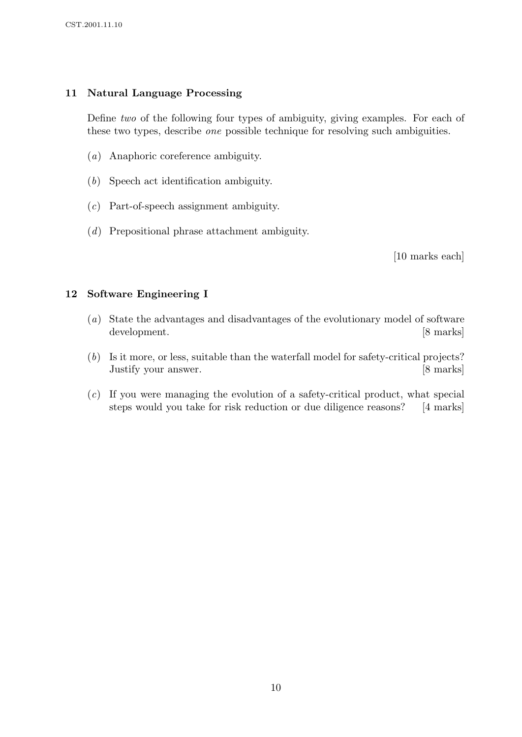# 11 Natural Language Processing

Define two of the following four types of ambiguity, giving examples. For each of these two types, describe one possible technique for resolving such ambiguities.

- (a) Anaphoric coreference ambiguity.
- (b) Speech act identification ambiguity.
- (c) Part-of-speech assignment ambiguity.
- (d) Prepositional phrase attachment ambiguity.

[10 marks each]

## 12 Software Engineering I

- (a) State the advantages and disadvantages of the evolutionary model of software development. [8 marks]
- (b) Is it more, or less, suitable than the waterfall model for safety-critical projects? Justify your answer. [8 marks]
- (c) If you were managing the evolution of a safety-critical product, what special steps would you take for risk reduction or due diligence reasons? [4 marks]